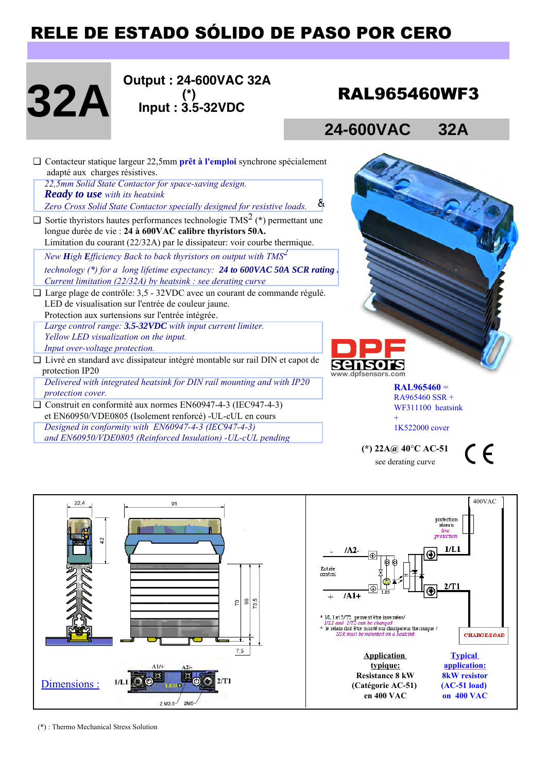# RELE DE ESTADO SÓLIDO DE PASO POR CERO

# 32A **32A**

 **Output : 24-600VAC 32A (\*) Input : 3.5-32VDC**

## RAL965460WF3

## **24-600VAC 32A**

|  | $\Box$ Contacteur statique largeur 22,5mm prêt à l'emploi synchrone spécialement             |
|--|----------------------------------------------------------------------------------------------|
|  | adapté aux charges résistives.                                                               |
|  | 22,5mm Solid State Contactor for space-saving design.                                        |
|  | <b>Ready to use</b> with its heatsink                                                        |
|  | 8<br>Zero Cross Solid State Contactor specially designed for resistive loads.                |
|  | $\Box$ Sortie thyristors hautes performances technologie TMS <sup>2</sup> (*) permettant une |
|  | longue durée de vie : 24 à 600VAC calibre thyristors 50A.                                    |
|  | Limitation du courant (22/32A) par le dissipateur: voir courbe thermique.                    |
|  | New High Efficiency Back to back thyristors on output with $TMS2$                            |
|  | technology (*) for a long lifetime expectancy: 24 to 600VAC 50A SCR rating.                  |
|  | Current limitation (22/32A) by heatsink : see derating curve                                 |
|  | $\Box$ Large plage de contrôle: 3,5 - 32VDC avec un courant de commande régulé.              |
|  | LED de visualisation sur l'entrée de couleur jaune.                                          |
|  | Protection aux surtensions sur l'entrée intégrée.                                            |
|  | Large control range: 3.5-32VDC with input current limiter.                                   |
|  | Yellow LED visualization on the input.                                                       |
|  | Input over-voltage protection.                                                               |
|  | □ Livré en standard avc dissipateur intégré montable sur rail DIN et capot de                |
|  | protection IP20                                                                              |

*Delivered with integrated heatsink for DIN rail mounting and with IP20 protection cover.* 

❏ Construit en conformité aux normes EN60947-4-3 (IEC947-4-3) et EN60950/VDE0805 (Isolement renforcé) -UL-cUL en cours *Designed in conformity with EN60947-4-3 (IEC947-4-3) and EN60950/VDE0805 (Reinforced Insulation) -UL-cUL pending*



**RAL965460** = RA965460 SSR + WF311100 heatsink +

1K522000 cover

**(\*) 22A@ 40**°**C AC-51**  see derating curve

 $\epsilon$ 



(\*) : Thermo Mechanical Stress Solution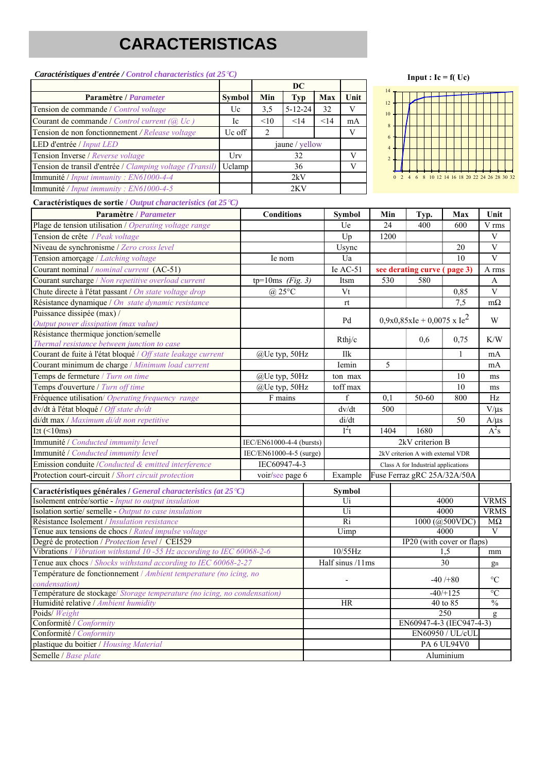# **CARACTERISTICAS**

#### *Caractéristiques d'entrée / Control characteristics (at 25*°*C)* **DC Paramètre /** *Parameter* **Symbol Min Typ Max Unit** Tension de commande / *Control voltage* Uc 3,5 5-12-24 32 V Courant de commande / *Control current (@ Uc )* Ic  $|$  <10  $|$  <14  $|$  <14  $|$  mA Tension de non fonctionnement / Release voltage Uc off 2 V LED d'entrée / *Input LED* jaune / yellow Tension Inverse / *Reverse voltage* Urv 32 V Tension de transil d'entrée / *Clamping voltage (Transil)* Uclamp 36 V Immunité / *Input immunity : EN61000-4-4* 2kV Immunité */ Input immunity : EN61000-4-5* 2KV

#### **Input :**  $Ic = f(Uc)$



#### **Caractéristiques de sortie /** *Output characteristics (at 25*°*C)*

| Paramètre / Parameter                                                                     | <b>Conditions</b>        |                 | <b>Symbol</b>    | Min                                             | Typ.                              | Max                | Unit                    |
|-------------------------------------------------------------------------------------------|--------------------------|-----------------|------------------|-------------------------------------------------|-----------------------------------|--------------------|-------------------------|
| Plage de tension utilisation / Operating voltage range                                    |                          |                 | Ue               | 24                                              | 400                               | 600                | V rms                   |
| Tension de crête / Peak voltage                                                           |                          |                 | Up               | 1200                                            |                                   |                    | V                       |
| Niveau de synchronisme / Zero cross level                                                 |                          |                 | Usync            |                                                 |                                   | 20                 | $\overline{\mathbf{V}}$ |
| Tension amorçage / Latching voltage                                                       | Ie nom                   |                 | Ua               |                                                 |                                   | 10                 | $\overline{\mathbf{V}}$ |
| Courant nominal / nominal current (AC-51)                                                 |                          |                 | Ie $AC-51$       |                                                 | see derating curve (page 3)       |                    | A rms                   |
| Courant surcharge / Non repetitive overload current                                       | tp=10ms $(Fig. 3)$       |                 | Itsm             | 530                                             | 580                               |                    | A                       |
| Chute directe à l'état passant / On state voltage drop                                    | $(a)$ 25°C               |                 | Vt               |                                                 |                                   | 0.85               | $\overline{V}$          |
| Résistance dynamique / On state dynamic resistance                                        |                          |                 | rt               |                                                 |                                   | 7,5                | $m\Omega$               |
| Puissance dissipée (max) /                                                                |                          |                 |                  |                                                 |                                   |                    |                         |
| Output power dissipation (max value)                                                      |                          |                 |                  | $0,9x0,85x$ Ie + 0,0075 x Ie <sup>2</sup><br>Pd |                                   |                    | W                       |
| Résistance thermique jonction/semelle                                                     |                          |                 |                  |                                                 | 0,6                               |                    |                         |
| Thermal resistance between junction to case                                               |                          |                 | Rthj/c           |                                                 |                                   | 0,75               | K/W                     |
| Courant de fuite à l'état bloqué / Off state leakage current                              | @Ue typ, 50Hz            |                 | Ilk              |                                                 |                                   | 1                  | mA                      |
| Courant minimum de charge / Minimum load current                                          |                          |                 | Iemin            | 5                                               |                                   |                    | mA                      |
| Temps de fermeture / Turn on time                                                         | @Ue typ, 50Hz            |                 | ton max          |                                                 |                                   | 10                 | ms                      |
| Temps d'ouverture / Turn off time                                                         | @Ue typ, 50Hz            |                 | toff max         |                                                 |                                   | 10                 | ms                      |
| Fréquence utilisation/ Operating frequency range                                          | F mains                  |                 | $\mathbf f$      | 0.1                                             | 50-60                             | 800                | Hz                      |
| dv/dt à l'état bloqué / Off state dv/dt                                                   |                          |                 | dv/dt            | 500                                             |                                   |                    | $V/\mu s$               |
| di/dt max / Maximum di/dt non repetitive                                                  |                          |                 | di/dt            |                                                 |                                   | 50                 | $A/\mu s$               |
| I <sub>2</sub> t $(\leq 10$ ms)                                                           |                          |                 | $I^2t$           | 1404                                            | 1680                              |                    | $A^2s$                  |
| Immunité / Conducted immunity level                                                       | IEC/EN61000-4-4 (bursts) | 2kV criterion B |                  |                                                 |                                   |                    |                         |
| Immunité / Conducted immunity level                                                       | IEC/EN61000-4-5 (surge)  |                 |                  |                                                 | 2kV criterion A with external VDR |                    |                         |
| Emission conduite /Conducted & emitted interference                                       | IEC60947-4-3             |                 |                  | Class A for Industrial applications             |                                   |                    |                         |
| Protection court-circuit / Short circuit protection                                       | voir/see page 6          |                 | Example          |                                                 | Fuse Ferraz gRC 25A/32A/50A       |                    |                         |
| Caractéristiques générales / General characteristics (at 25 °C)                           |                          |                 | Symbol           |                                                 |                                   |                    |                         |
| Isolement entrée/sortie - Input to output insulation                                      |                          |                 | Ui               |                                                 | 4000                              |                    | <b>VRMS</b>             |
| Isolation sortie/ semelle - Output to case insulation                                     |                          |                 | Ui               |                                                 | 4000                              |                    | <b>VRMS</b>             |
| Résistance Isolement / <i>Insulation resistance</i>                                       |                          |                 | $\overline{Ri}$  |                                                 | 1000 (@500VDC)                    |                    | $M\Omega$               |
| Tenue aux tensions de chocs / Rated impulse voltage                                       |                          |                 | Uimp             |                                                 | 4000                              |                    | V                       |
| Degré de protection / Protection level / CEI529                                           |                          |                 |                  |                                                 | IP20 (with cover or flaps)        |                    |                         |
| Vibrations / Vibration withstand 10 -55 Hz according to IEC 60068-2-6                     |                          |                 | 10/55Hz          |                                                 | 1.5                               |                    | mm                      |
| Tenue aux chocs / Shocks withstand according to IEC 60068-2-27                            |                          |                 | Half sinus /11ms |                                                 | 30                                |                    | gn                      |
| Température de fonctionnement / Ambient temperature (no icing, no                         |                          |                 |                  |                                                 | $-40/+80$                         |                    | $\rm ^{\circ}C$         |
| condensation)<br>Température de stockage/ Storage temperature (no icing, no condensation) |                          |                 |                  |                                                 | $-40/125$                         |                    | $\overline{C}$          |
| Humidité relative / Ambient humidity                                                      | HR                       |                 |                  | 40 to 85                                        |                                   | $\frac{0}{0}$      |                         |
| Poids/ Weight                                                                             |                          |                 |                  |                                                 |                                   | 250                |                         |
| Conformité / Conformity                                                                   |                          |                 |                  |                                                 | EN60947-4-3 (IEC947-4-3)          |                    | g                       |
| Conformité / Conformity                                                                   |                          |                 |                  |                                                 |                                   | EN60950 / UL/cUL   |                         |
| plastique du boitier / Housing Material                                                   |                          |                 |                  |                                                 |                                   | <b>PA 6 UL94V0</b> |                         |
| Semelle / Base plate                                                                      |                          |                 |                  |                                                 |                                   | Aluminium          |                         |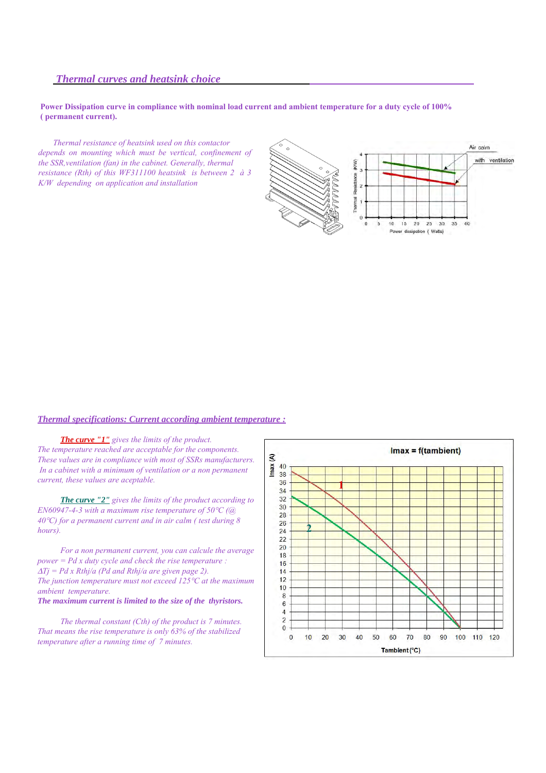## *Thermal curves and heatsink choice*

#### **Power Dissipation curve in compliance with nominal load current and ambient temperature for a duty cycle of 100% ( permanent current).**

*Thermal resistance of heatsink used on this contactor depends on mounting which must be vertical, confinement of the SSR,ventilation (fan) in the cabinet. Generally, thermal resistance (Rth) of this WF311100 heatsink is between 2 à 3 K/W depending on application and installation*



#### *Thermal specifications: Current according ambient temperature :*

*The curve "1" gives the limits of the product. The temperature reached are acceptable for the components. These values are in compliance with most of SSRs manufacturers. In a cabinet with a minimum of ventilation or a non permanent current, these values are aceptable.*

*The curve "2" gives the limits of the product according to EN60947-4-3 with a maximum rise temperature of 50*°*C (@ 40*°*C) for a permanent current and in air calm ( test during 8 hours).*

*For a non permanent current, you can calcule the average power = Pd x duty cycle and check the rise temperature :*  <sup>∆</sup>*Tj = Pd x Rthj/a (Pd and Rthj/a are given page 2). The junction temperature must not exceed 125*°*C at the maximum ambient temperature.*

#### *The maximum current is limited to the size of the thyristors.*

*The thermal constant (Cth) of the product is 7 minutes. That means the rise temperature is only 63% of the stabilized temperature after a running time of 7 minutes.*

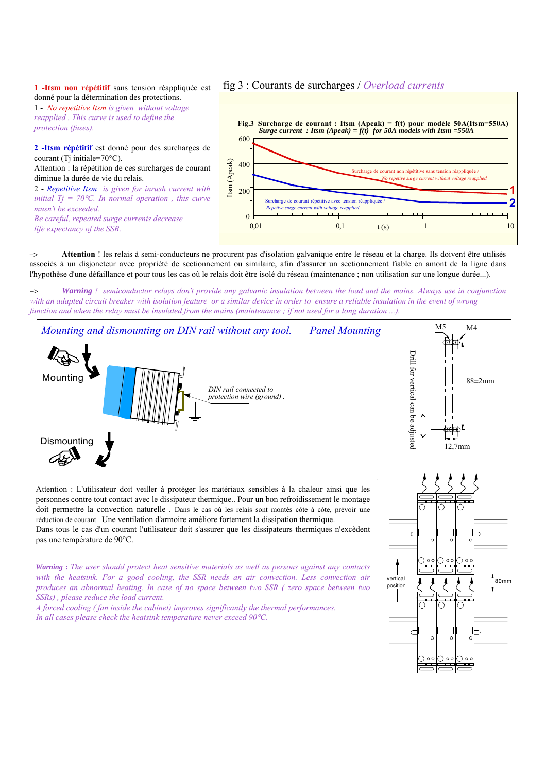#### **1 -Itsm non répétitif** sans tension réappliquée est donné pour la détermination des protections.

1 - *No repetitive Itsm is given without voltage reapplied . This curve is used to define the protection (fuses).*

**2 -Itsm répétitif** est donné pour des surcharges de courant (Ti initiale= $70^{\circ}$ C).

Attention : la répétition de ces surcharges de courant diminue la durée de vie du relais.

2 - *Repetitive Itsm is given for inrush current with initial Tj = 70*°*C. In normal operation , this curve musn't be exceeded. Be careful, repeated surge currents decrease life expectancy of the SSR.*

fig 3 : Courants de surcharges / *Overload currents*



−> **Attention** ! les relais à semi-conducteurs ne procurent pas d'isolation galvanique entre le réseau et la charge. Ils doivent être utilisés associés à un disjoncteur avec propriété de sectionnement ou similaire, afin d'assurer un sectionnement fiable en amont de la ligne dans l'hypothèse d'une défaillance et pour tous les cas où le relais doit être isolé du réseau (maintenance ; non utilisation sur une longue durée...).

−> *Warning ! semiconductor relays don't provide any galvanic insulation between the load and the mains. Always use in conjunction with an adapted circuit breaker with isolation feature or a similar device in order to ensure a reliable insulation in the event of wrong function and when the relay must be insulated from the mains (maintenance; if not used for a long duration ...).* 



Attention : L'utilisateur doit veiller à protéger les matériaux sensibles à la chaleur ainsi que les personnes contre tout contact avec le dissipateur thermique.. Pour un bon refroidissement le montage doit permettre la convection naturelle . Dans le cas où les relais sont montés côte à côte, prévoir une réduction de courant. Une ventilation d'armoire améliore fortement la dissipation thermique. Dans tous le cas d'un courant l'utilisateur doit s'assurer que les dissipateurs thermiques n'excèdent

pas une température de 90°C.

*Warning* **:** *The user should protect heat sensitive materials as well as persons against any contacts with the heatsink. For a good cooling, the SSR needs an air convection. Less convection air produces an abnormal heating. In case of no space between two SSR ( zero space between two SSRs) , please reduce the load current.* 

*A forced cooling ( fan inside the cabinet) improves significantly the thermal performances. In all cases please check the heatsink temperature never exceed 90*°*C.*

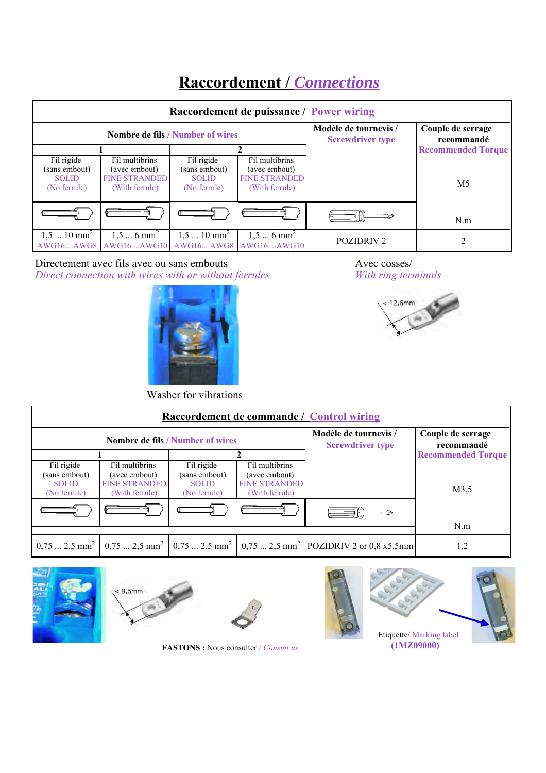# **Raccordement /** *Connections*

| Raccordement de puissance / Power wiring                    |                                                                           |                                                             |                                                                           |                                 |                           |  |  |  |
|-------------------------------------------------------------|---------------------------------------------------------------------------|-------------------------------------------------------------|---------------------------------------------------------------------------|---------------------------------|---------------------------|--|--|--|
|                                                             |                                                                           | <b>Nombre de fils / Number of wires</b>                     | Modèle de tournevis /<br><b>Screwdriver type</b>                          | Couple de serrage<br>recommandé |                           |  |  |  |
|                                                             |                                                                           |                                                             |                                                                           |                                 | <b>Recommended Torque</b> |  |  |  |
| Fil rigide<br>(sans embout)<br><b>SOLID</b><br>(No ferrule) | Fil multibrins<br>(avec embout)<br><b>FINE STRANDED</b><br>(With ferrule) | Fil rigide<br>(sans embout)<br><b>SOLID</b><br>(No ferrule) | Fil multibrins<br>(avec embout)<br><b>FINE STRANDED</b><br>(With ferrule) |                                 | M <sub>5</sub>            |  |  |  |
|                                                             |                                                                           |                                                             |                                                                           |                                 | N.m                       |  |  |  |
| $1,510$ mm <sup>2</sup>                                     | $1,56$ mm <sup>2</sup><br>AWG16AWG8   AWG16AWG10   AWG16AWG8   AWG16AWG10 | $1,510$ mm <sup>2</sup>                                     | $1,56$ mm <sup>2</sup>                                                    | <b>POZIDRIV2</b>                |                           |  |  |  |

Directement avec fils avec ou sans embouts *Direct connection with wires with or without ferrules*







Washer for vibrations

| <b>Raccordement de commande / Control wiring</b>            |                                                                           |                                                             |                                                                           |                                                                                                                                                                |                           |  |  |
|-------------------------------------------------------------|---------------------------------------------------------------------------|-------------------------------------------------------------|---------------------------------------------------------------------------|----------------------------------------------------------------------------------------------------------------------------------------------------------------|---------------------------|--|--|
|                                                             |                                                                           | <b>Nombre de fils / Number of wires</b>                     | Modèle de tournevis /<br><b>Screwdriver type</b>                          | Couple de serrage<br>recommandé                                                                                                                                |                           |  |  |
|                                                             |                                                                           |                                                             |                                                                           |                                                                                                                                                                | <b>Recommended Torque</b> |  |  |
| Fil rigide<br>(sans embout)<br><b>SOLID</b><br>(No ferrule) | Fil multibrins<br>(avec embout)<br><b>FINE STRANDED</b><br>(With ferrule) | Fil rigide<br>(sans embout)<br><b>SOLID</b><br>(No ferrule) | Fil multibrins<br>(avec embout)<br><b>FINE STRANDED</b><br>(With ferrule) |                                                                                                                                                                | M3,5                      |  |  |
|                                                             |                                                                           |                                                             |                                                                           |                                                                                                                                                                | N.m                       |  |  |
|                                                             |                                                                           |                                                             |                                                                           |                                                                                                                                                                |                           |  |  |
|                                                             |                                                                           |                                                             |                                                                           | $0.75$ 2,5 mm <sup>2</sup> $\Big  0.75$ 2,5 mm <sup>2</sup> $\Big  0.75$ 2,5 mm <sup>2</sup> $\Big  0.75$ 2,5 mm <sup>2</sup> $\Big $ POZIDRIV 2 or 0,8 x5,5mm | 1,2                       |  |  |







**FASTONS :** Nous consulter / *Consult us*





 **(1MZ09000)**